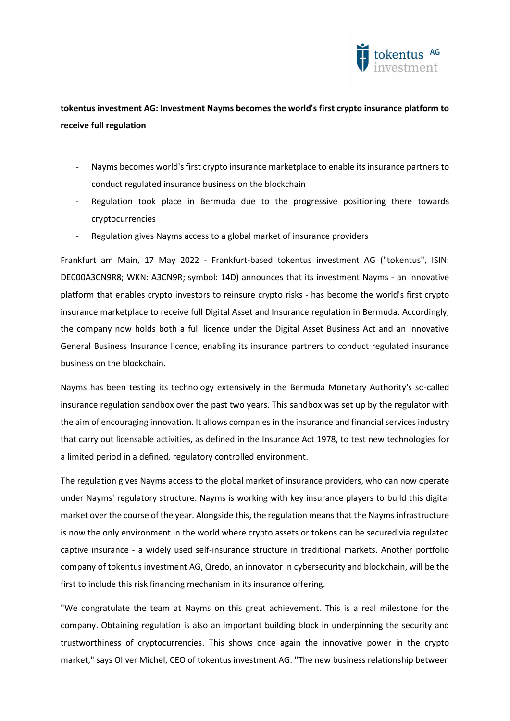

# tokentus investment AG: Investment Nayms becomes the world's first crypto insurance platform to receive full regulation

- Nayms becomes world's first crypto insurance marketplace to enable its insurance partners to conduct regulated insurance business on the blockchain
- Regulation took place in Bermuda due to the progressive positioning there towards cryptocurrencies
- Regulation gives Nayms access to a global market of insurance providers

Frankfurt am Main, 17 May 2022 - Frankfurt-based tokentus investment AG ("tokentus", ISIN: DE000A3CN9R8; WKN: A3CN9R; symbol: 14D) announces that its investment Nayms - an innovative platform that enables crypto investors to reinsure crypto risks - has become the world's first crypto insurance marketplace to receive full Digital Asset and Insurance regulation in Bermuda. Accordingly, the company now holds both a full licence under the Digital Asset Business Act and an Innovative General Business Insurance licence, enabling its insurance partners to conduct regulated insurance business on the blockchain.

Nayms has been testing its technology extensively in the Bermuda Monetary Authority's so-called insurance regulation sandbox over the past two years. This sandbox was set up by the regulator with the aim of encouraging innovation. It allows companies in the insurance and financial services industry that carry out licensable activities, as defined in the Insurance Act 1978, to test new technologies for a limited period in a defined, regulatory controlled environment.

The regulation gives Nayms access to the global market of insurance providers, who can now operate under Nayms' regulatory structure. Nayms is working with key insurance players to build this digital market over the course of the year. Alongside this, the regulation means that the Nayms infrastructure is now the only environment in the world where crypto assets or tokens can be secured via regulated captive insurance - a widely used self-insurance structure in traditional markets. Another portfolio company of tokentus investment AG, Qredo, an innovator in cybersecurity and blockchain, will be the first to include this risk financing mechanism in its insurance offering.

"We congratulate the team at Nayms on this great achievement. This is a real milestone for the company. Obtaining regulation is also an important building block in underpinning the security and trustworthiness of cryptocurrencies. This shows once again the innovative power in the crypto market," says Oliver Michel, CEO of tokentus investment AG. "The new business relationship between